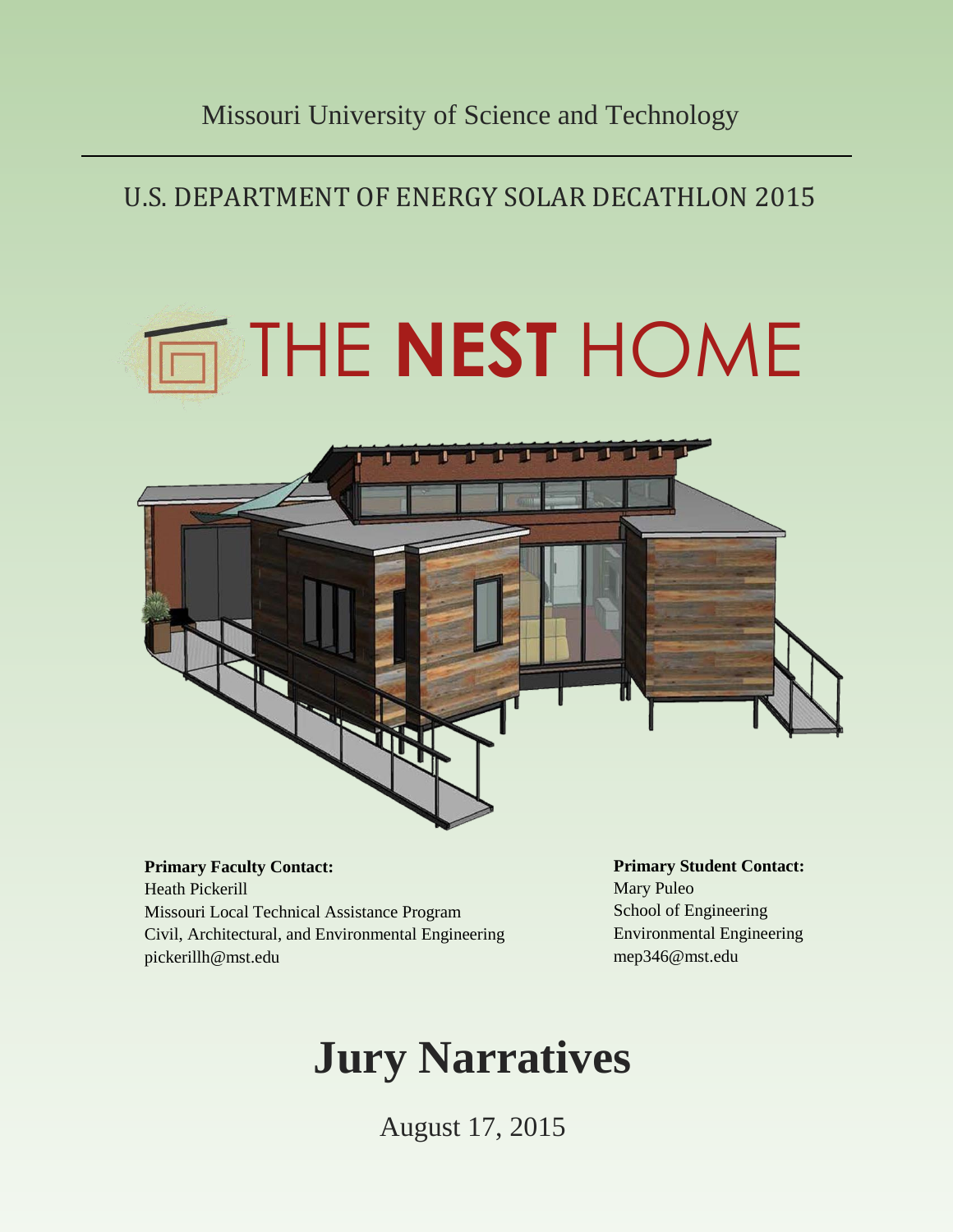## U.S. DEPARTMENT OF ENERGY SOLAR DECATHLON 2015

# THE **NEST** HOME



**Primary Faculty Contact:** Heath Pickerill Missouri Local Technical Assistance Program Civil, Architectural, and Environmental Engineering pickerillh@mst.edu

**Primary Student Contact:** Mary Puleo School of Engineering Environmental Engineering mep346@mst.edu

## **Jury Narratives**

August 17, 2015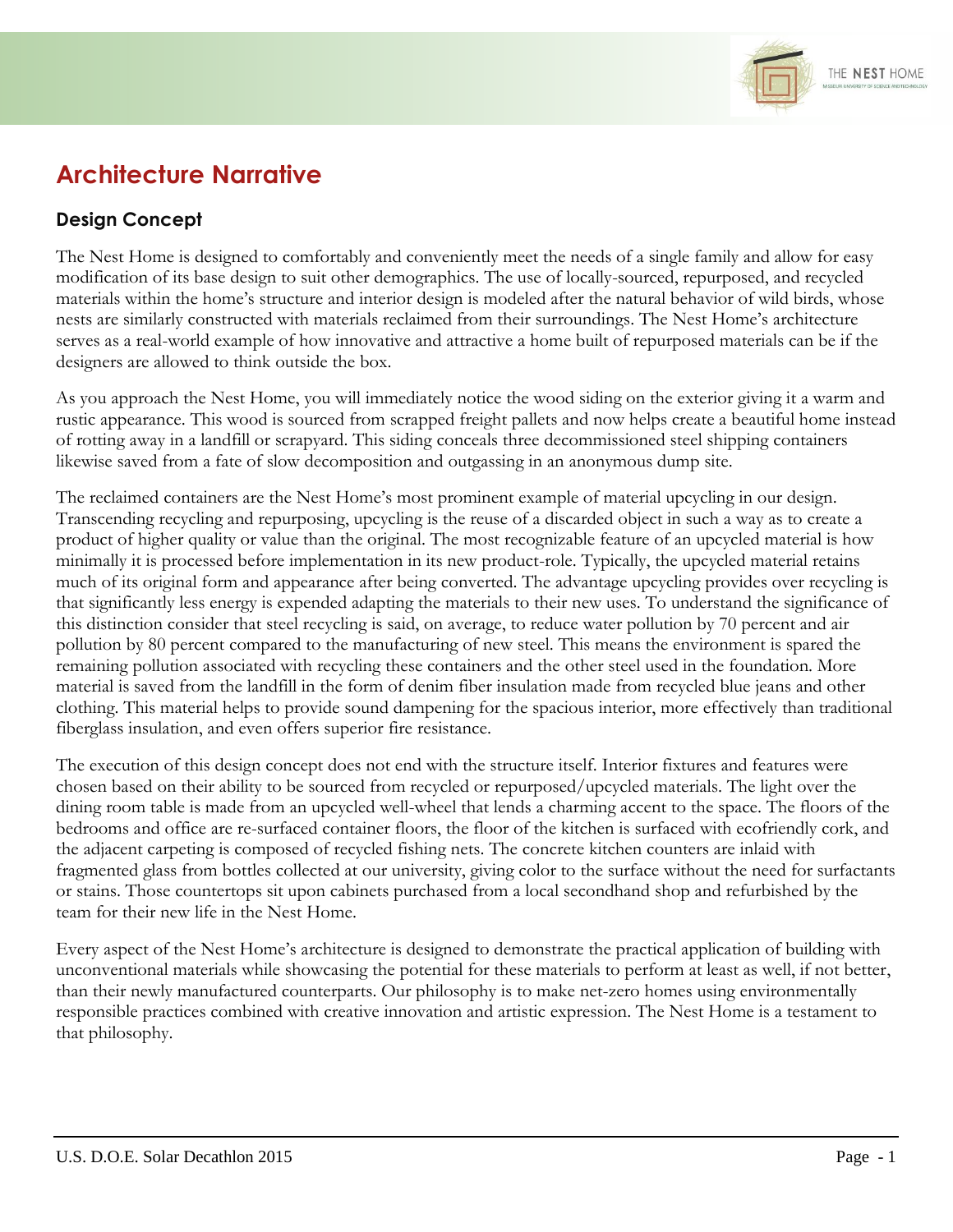

## **Architecture Narrative**

#### **Design Concept**

The Nest Home is designed to comfortably and conveniently meet the needs of a single family and allow for easy modification of its base design to suit other demographics. The use of locally-sourced, repurposed, and recycled materials within the home's structure and interior design is modeled after the natural behavior of wild birds, whose nests are similarly constructed with materials reclaimed from their surroundings. The Nest Home's architecture serves as a real-world example of how innovative and attractive a home built of repurposed materials can be if the designers are allowed to think outside the box.

As you approach the Nest Home, you will immediately notice the wood siding on the exterior giving it a warm and rustic appearance. This wood is sourced from scrapped freight pallets and now helps create a beautiful home instead of rotting away in a landfill or scrapyard. This siding conceals three decommissioned steel shipping containers likewise saved from a fate of slow decomposition and outgassing in an anonymous dump site.

The reclaimed containers are the Nest Home's most prominent example of material upcycling in our design. Transcending recycling and repurposing, upcycling is the reuse of a discarded object in such a way as to create a product of higher quality or value than the original. The most recognizable feature of an upcycled material is how minimally it is processed before implementation in its new product-role. Typically, the upcycled material retains much of its original form and appearance after being converted. The advantage upcycling provides over recycling is that significantly less energy is expended adapting the materials to their new uses. To understand the significance of this distinction consider that steel recycling is said, on average, to reduce water pollution by 70 percent and air pollution by 80 percent compared to the manufacturing of new steel. This means the environment is spared the remaining pollution associated with recycling these containers and the other steel used in the foundation. More material is saved from the landfill in the form of denim fiber insulation made from recycled blue jeans and other clothing. This material helps to provide sound dampening for the spacious interior, more effectively than traditional fiberglass insulation, and even offers superior fire resistance.

The execution of this design concept does not end with the structure itself. Interior fixtures and features were chosen based on their ability to be sourced from recycled or repurposed/upcycled materials. The light over the dining room table is made from an upcycled well-wheel that lends a charming accent to the space. The floors of the bedrooms and office are re-surfaced container floors, the floor of the kitchen is surfaced with ecofriendly cork, and the adjacent carpeting is composed of recycled fishing nets. The concrete kitchen counters are inlaid with fragmented glass from bottles collected at our university, giving color to the surface without the need for surfactants or stains. Those countertops sit upon cabinets purchased from a local secondhand shop and refurbished by the team for their new life in the Nest Home.

Every aspect of the Nest Home's architecture is designed to demonstrate the practical application of building with unconventional materials while showcasing the potential for these materials to perform at least as well, if not better, than their newly manufactured counterparts. Our philosophy is to make net-zero homes using environmentally responsible practices combined with creative innovation and artistic expression. The Nest Home is a testament to that philosophy.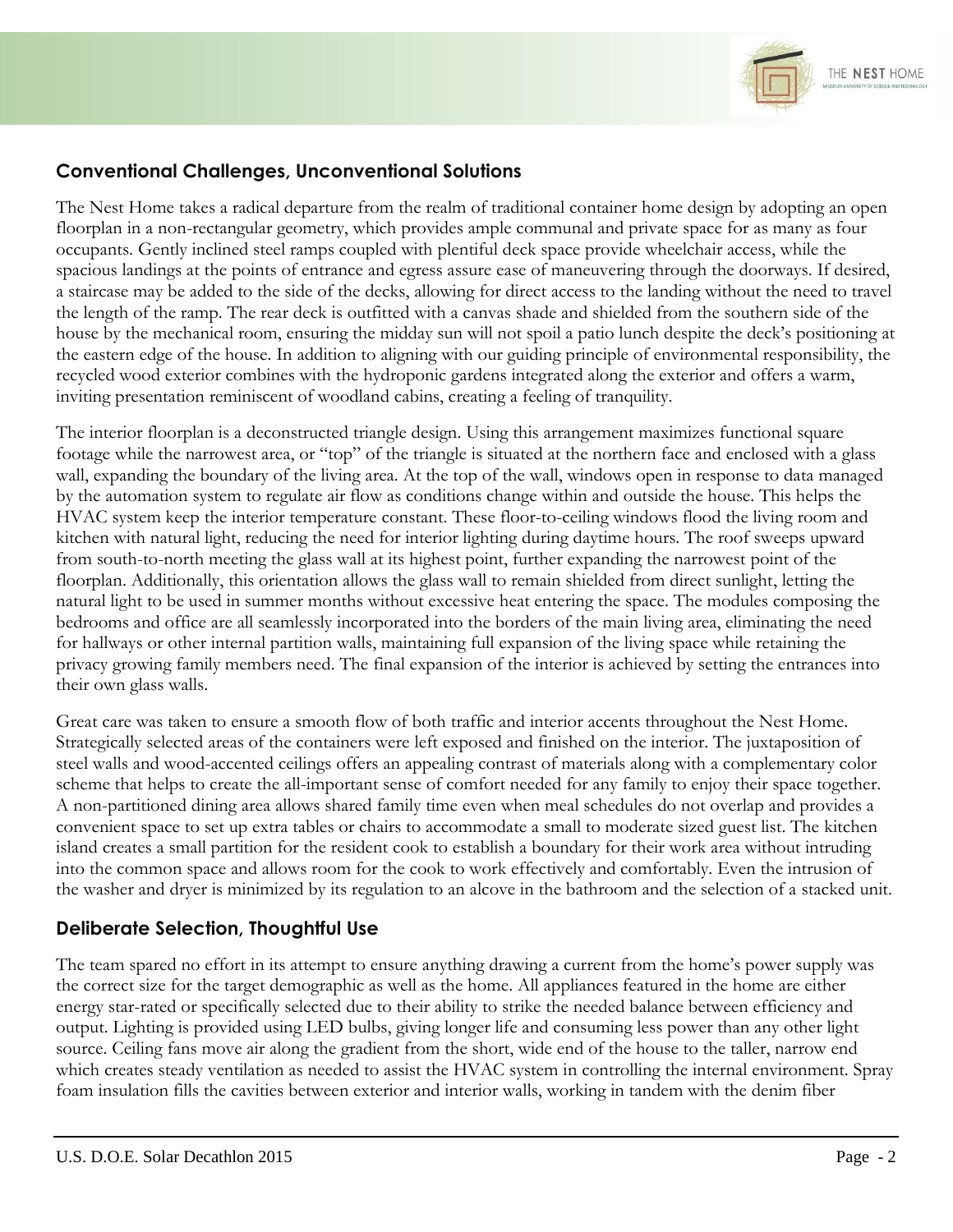

#### **Conventional Challenges, Unconventional Solutions**

The Nest Home takes a radical departure from the realm of traditional container home design by adopting an open floorplan in a non-rectangular geometry, which provides ample communal and private space for as many as four occupants. Gently inclined steel ramps coupled with plentiful deck space provide wheelchair access, while the spacious landings at the points of entrance and egress assure ease of maneuvering through the doorways. If desired, a staircase may be added to the side of the decks, allowing for direct access to the landing without the need to travel the length of the ramp. The rear deck is outfitted with a canvas shade and shielded from the southern side of the house by the mechanical room, ensuring the midday sun will not spoil a patio lunch despite the deck's positioning at the eastern edge of the house. In addition to aligning with our guiding principle of environmental responsibility, the recycled wood exterior combines with the hydroponic gardens integrated along the exterior and offers a warm, inviting presentation reminiscent of woodland cabins, creating a feeling of tranquility.

The interior floorplan is a deconstructed triangle design. Using this arrangement maximizes functional square footage while the narrowest area, or "top" of the triangle is situated at the northern face and enclosed with a glass wall, expanding the boundary of the living area. At the top of the wall, windows open in response to data managed by the automation system to regulate air flow as conditions change within and outside the house. This helps the HVAC system keep the interior temperature constant. These floor-to-ceiling windows flood the living room and kitchen with natural light, reducing the need for interior lighting during daytime hours. The roof sweeps upward from south-to-north meeting the glass wall at its highest point, further expanding the narrowest point of the floorplan. Additionally, this orientation allows the glass wall to remain shielded from direct sunlight, letting the natural light to be used in summer months without excessive heat entering the space. The modules composing the bedrooms and office are all seamlessly incorporated into the borders of the main living area, eliminating the need for hallways or other internal partition walls, maintaining full expansion of the living space while retaining the privacy growing family members need. The final expansion of the interior is achieved by setting the entrances into their own glass walls.

Great care was taken to ensure a smooth flow of both traffic and interior accents throughout the Nest Home. Strategically selected areas of the containers were left exposed and finished on the interior. The juxtaposition of steel walls and wood-accented ceilings offers an appealing contrast of materials along with a complementary color scheme that helps to create the all-important sense of comfort needed for any family to enjoy their space together. A non-partitioned dining area allows shared family time even when meal schedules do not overlap and provides a convenient space to set up extra tables or chairs to accommodate a small to moderate sized guest list. The kitchen island creates a small partition for the resident cook to establish a boundary for their work area without intruding into the common space and allows room for the cook to work effectively and comfortably. Even the intrusion of the washer and dryer is minimized by its regulation to an alcove in the bathroom and the selection of a stacked unit.

#### **Deliberate Selection, Thoughtful Use**

The team spared no effort in its attempt to ensure anything drawing a current from the home's power supply was the correct size for the target demographic as well as the home. All appliances featured in the home are either energy star-rated or specifically selected due to their ability to strike the needed balance between efficiency and output. Lighting is provided using LED bulbs, giving longer life and consuming less power than any other light source. Ceiling fans move air along the gradient from the short, wide end of the house to the taller, narrow end which creates steady ventilation as needed to assist the HVAC system in controlling the internal environment. Spray foam insulation fills the cavities between exterior and interior walls, working in tandem with the denim fiber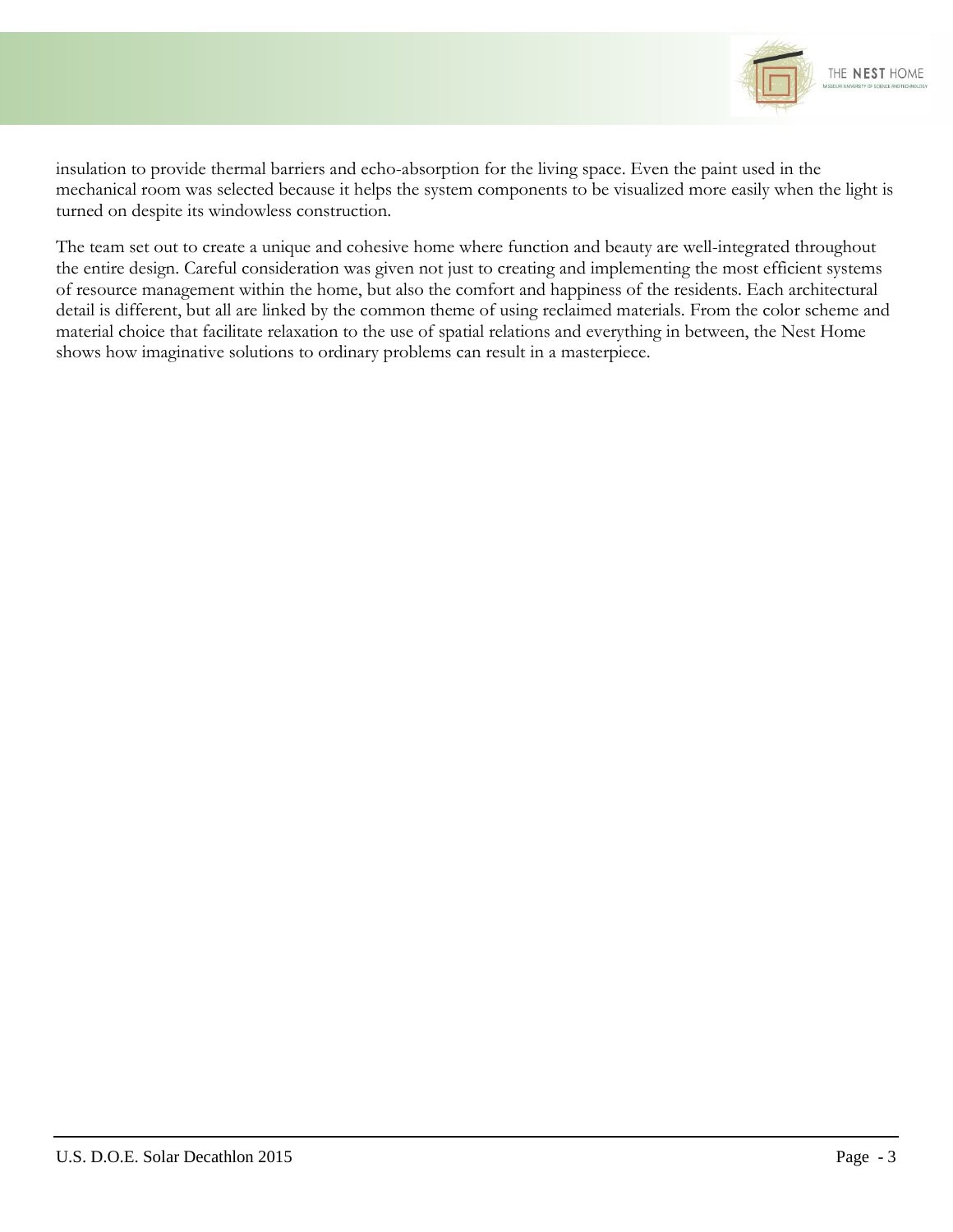

insulation to provide thermal barriers and echo-absorption for the living space. Even the paint used in the mechanical room was selected because it helps the system components to be visualized more easily when the light is turned on despite its windowless construction.

The team set out to create a unique and cohesive home where function and beauty are well-integrated throughout the entire design. Careful consideration was given not just to creating and implementing the most efficient systems of resource management within the home, but also the comfort and happiness of the residents. Each architectural detail is different, but all are linked by the common theme of using reclaimed materials. From the color scheme and material choice that facilitate relaxation to the use of spatial relations and everything in between, the Nest Home shows how imaginative solutions to ordinary problems can result in a masterpiece.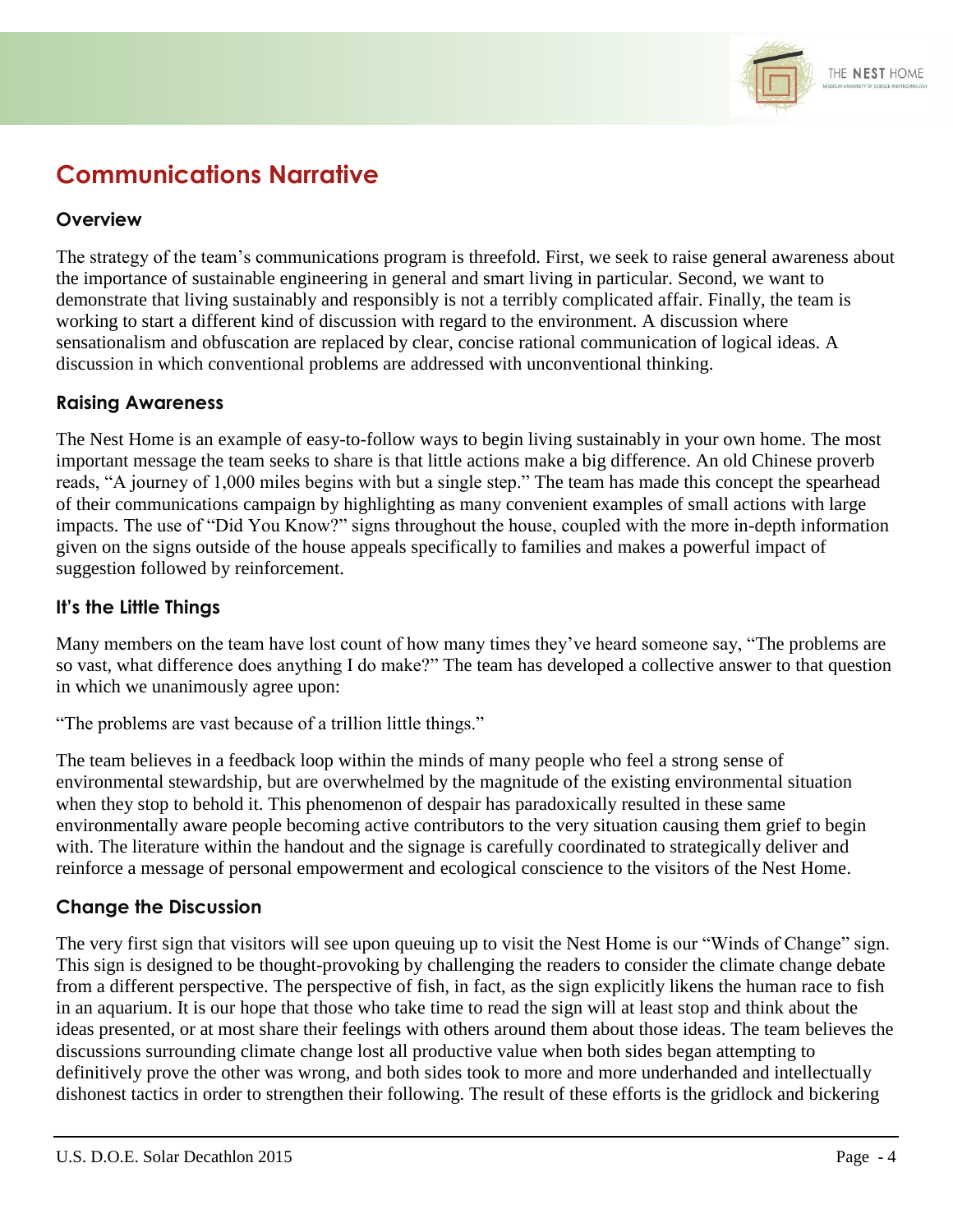

## **Communications Narrative**

#### **Overview**

The strategy of the team's communications program is threefold. First, we seek to raise general awareness about the importance of sustainable engineering in general and smart living in particular. Second, we want to demonstrate that living sustainably and responsibly is not a terribly complicated affair. Finally, the team is working to start a different kind of discussion with regard to the environment. A discussion where sensationalism and obfuscation are replaced by clear, concise rational communication of logical ideas. A discussion in which conventional problems are addressed with unconventional thinking.

#### **Raising Awareness**

The Nest Home is an example of easy-to-follow ways to begin living sustainably in your own home. The most important message the team seeks to share is that little actions make a big difference. An old Chinese proverb reads, "A journey of 1,000 miles begins with but a single step." The team has made this concept the spearhead of their communications campaign by highlighting as many convenient examples of small actions with large impacts. The use of "Did You Know?" signs throughout the house, coupled with the more in-depth information given on the signs outside of the house appeals specifically to families and makes a powerful impact of suggestion followed by reinforcement.

#### **It's the Little Things**

Many members on the team have lost count of how many times they've heard someone say, "The problems are so vast, what difference does anything I do make?" The team has developed a collective answer to that question in which we unanimously agree upon:

"The problems are vast because of a trillion little things."

The team believes in a feedback loop within the minds of many people who feel a strong sense of environmental stewardship, but are overwhelmed by the magnitude of the existing environmental situation when they stop to behold it. This phenomenon of despair has paradoxically resulted in these same environmentally aware people becoming active contributors to the very situation causing them grief to begin with. The literature within the handout and the signage is carefully coordinated to strategically deliver and reinforce a message of personal empowerment and ecological conscience to the visitors of the Nest Home.

#### **Change the Discussion**

The very first sign that visitors will see upon queuing up to visit the Nest Home is our "Winds of Change" sign. This sign is designed to be thought-provoking by challenging the readers to consider the climate change debate from a different perspective. The perspective of fish, in fact, as the sign explicitly likens the human race to fish in an aquarium. It is our hope that those who take time to read the sign will at least stop and think about the ideas presented, or at most share their feelings with others around them about those ideas. The team believes the discussions surrounding climate change lost all productive value when both sides began attempting to definitively prove the other was wrong, and both sides took to more and more underhanded and intellectually dishonest tactics in order to strengthen their following. The result of these efforts is the gridlock and bickering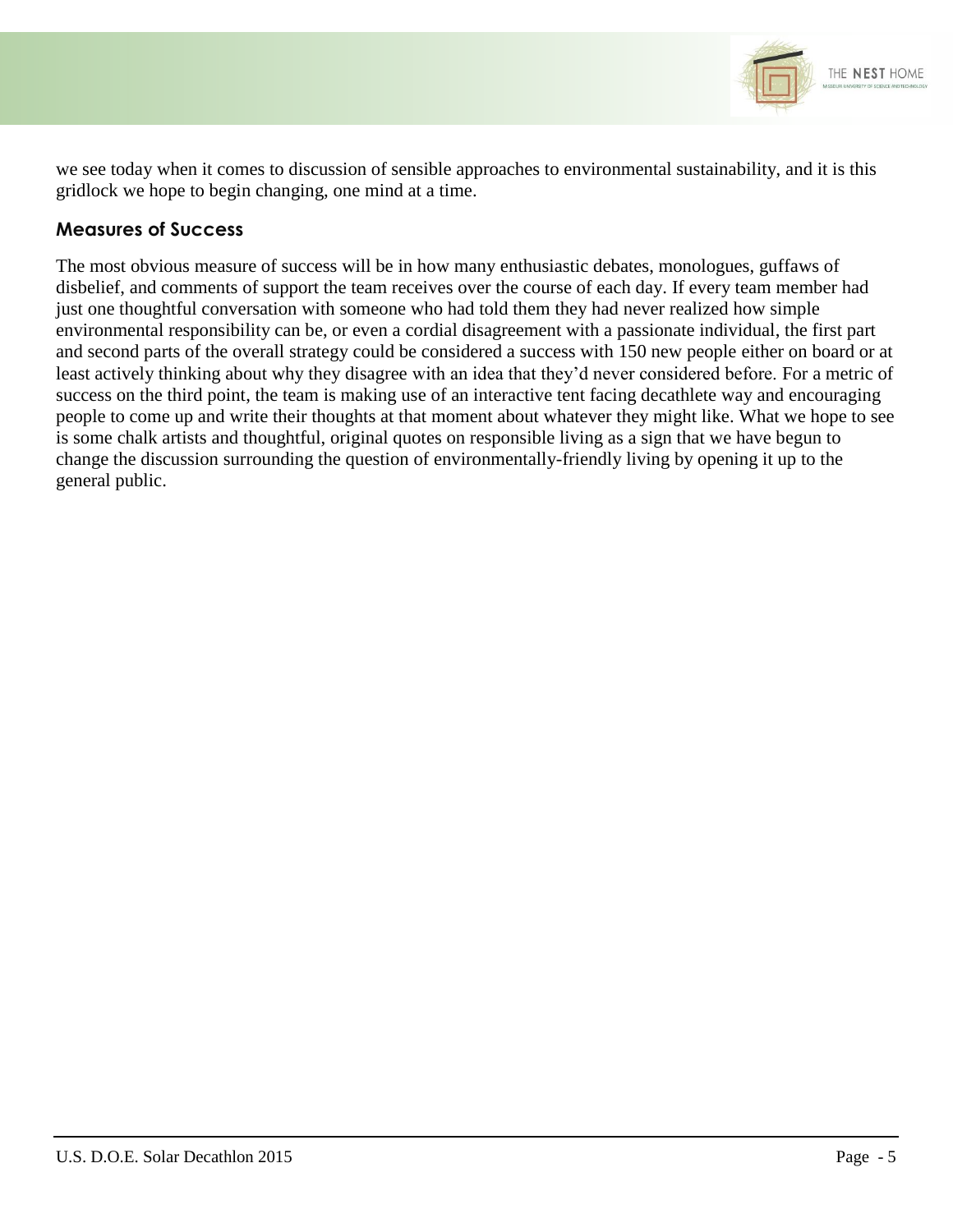

we see today when it comes to discussion of sensible approaches to environmental sustainability, and it is this gridlock we hope to begin changing, one mind at a time.

#### **Measures of Success**

The most obvious measure of success will be in how many enthusiastic debates, monologues, guffaws of disbelief, and comments of support the team receives over the course of each day. If every team member had just one thoughtful conversation with someone who had told them they had never realized how simple environmental responsibility can be, or even a cordial disagreement with a passionate individual, the first part and second parts of the overall strategy could be considered a success with 150 new people either on board or at least actively thinking about why they disagree with an idea that they'd never considered before. For a metric of success on the third point, the team is making use of an interactive tent facing decathlete way and encouraging people to come up and write their thoughts at that moment about whatever they might like. What we hope to see is some chalk artists and thoughtful, original quotes on responsible living as a sign that we have begun to change the discussion surrounding the question of environmentally-friendly living by opening it up to the general public.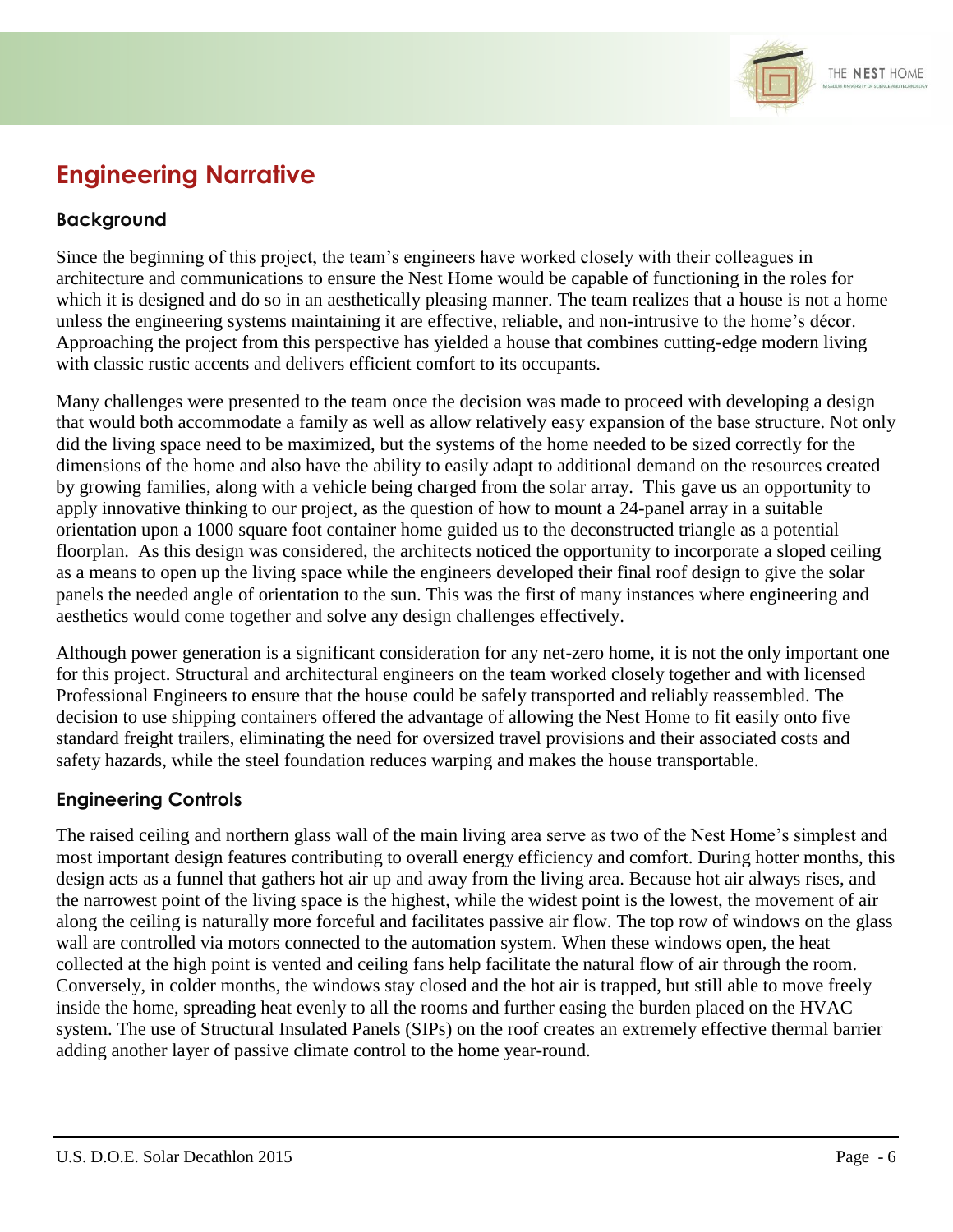

## **Engineering Narrative**

#### **Background**

Since the beginning of this project, the team's engineers have worked closely with their colleagues in architecture and communications to ensure the Nest Home would be capable of functioning in the roles for which it is designed and do so in an aesthetically pleasing manner. The team realizes that a house is not a home unless the engineering systems maintaining it are effective, reliable, and non-intrusive to the home's décor. Approaching the project from this perspective has yielded a house that combines cutting-edge modern living with classic rustic accents and delivers efficient comfort to its occupants.

Many challenges were presented to the team once the decision was made to proceed with developing a design that would both accommodate a family as well as allow relatively easy expansion of the base structure. Not only did the living space need to be maximized, but the systems of the home needed to be sized correctly for the dimensions of the home and also have the ability to easily adapt to additional demand on the resources created by growing families, along with a vehicle being charged from the solar array. This gave us an opportunity to apply innovative thinking to our project, as the question of how to mount a 24-panel array in a suitable orientation upon a 1000 square foot container home guided us to the deconstructed triangle as a potential floorplan. As this design was considered, the architects noticed the opportunity to incorporate a sloped ceiling as a means to open up the living space while the engineers developed their final roof design to give the solar panels the needed angle of orientation to the sun. This was the first of many instances where engineering and aesthetics would come together and solve any design challenges effectively.

Although power generation is a significant consideration for any net-zero home, it is not the only important one for this project. Structural and architectural engineers on the team worked closely together and with licensed Professional Engineers to ensure that the house could be safely transported and reliably reassembled. The decision to use shipping containers offered the advantage of allowing the Nest Home to fit easily onto five standard freight trailers, eliminating the need for oversized travel provisions and their associated costs and safety hazards, while the steel foundation reduces warping and makes the house transportable.

#### **Engineering Controls**

The raised ceiling and northern glass wall of the main living area serve as two of the Nest Home's simplest and most important design features contributing to overall energy efficiency and comfort. During hotter months, this design acts as a funnel that gathers hot air up and away from the living area. Because hot air always rises, and the narrowest point of the living space is the highest, while the widest point is the lowest, the movement of air along the ceiling is naturally more forceful and facilitates passive air flow. The top row of windows on the glass wall are controlled via motors connected to the automation system. When these windows open, the heat collected at the high point is vented and ceiling fans help facilitate the natural flow of air through the room. Conversely, in colder months, the windows stay closed and the hot air is trapped, but still able to move freely inside the home, spreading heat evenly to all the rooms and further easing the burden placed on the HVAC system. The use of Structural Insulated Panels (SIPs) on the roof creates an extremely effective thermal barrier adding another layer of passive climate control to the home year-round.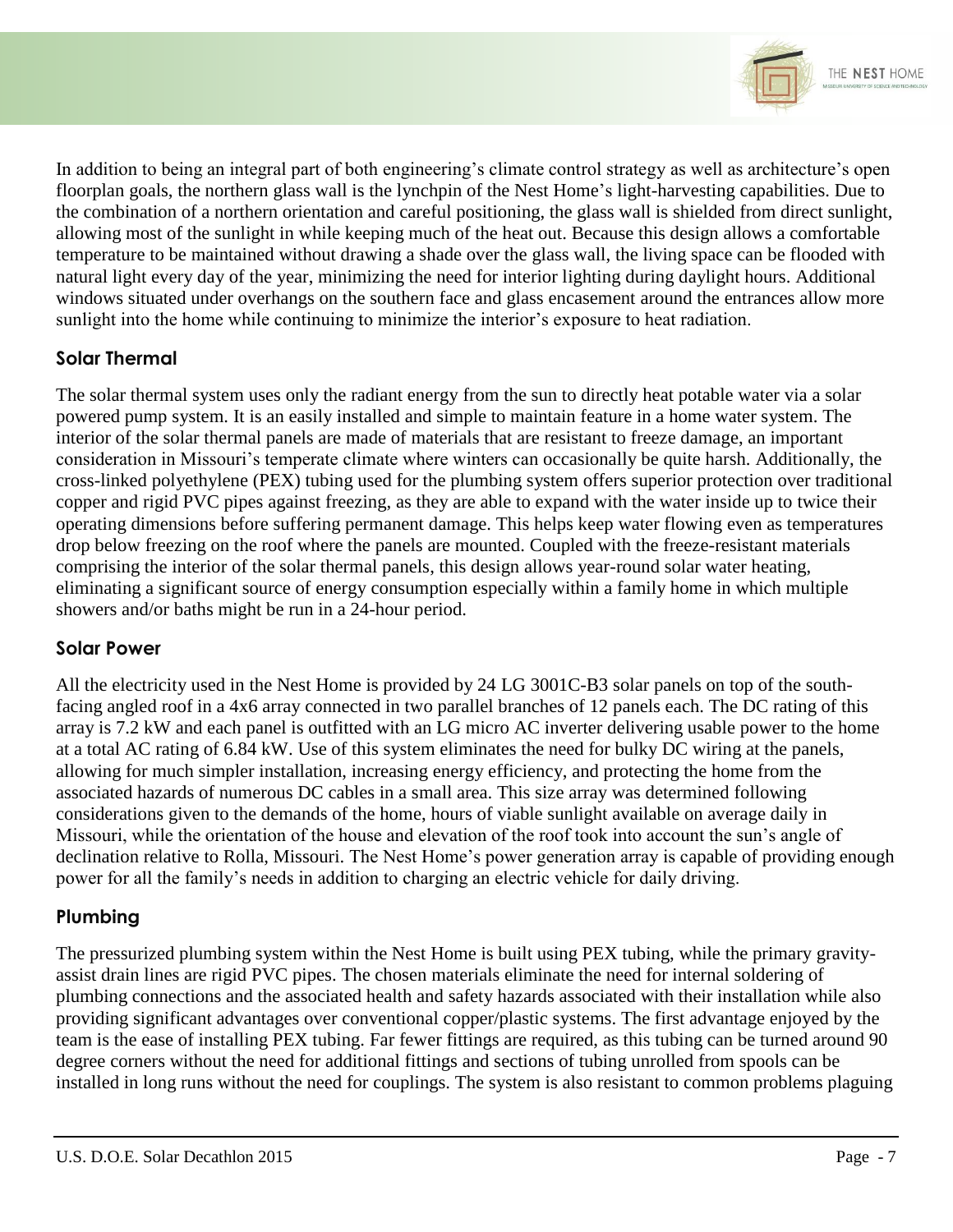

In addition to being an integral part of both engineering's climate control strategy as well as architecture's open floorplan goals, the northern glass wall is the lynchpin of the Nest Home's light-harvesting capabilities. Due to the combination of a northern orientation and careful positioning, the glass wall is shielded from direct sunlight, allowing most of the sunlight in while keeping much of the heat out. Because this design allows a comfortable temperature to be maintained without drawing a shade over the glass wall, the living space can be flooded with natural light every day of the year, minimizing the need for interior lighting during daylight hours. Additional windows situated under overhangs on the southern face and glass encasement around the entrances allow more sunlight into the home while continuing to minimize the interior's exposure to heat radiation.

#### **Solar Thermal**

The solar thermal system uses only the radiant energy from the sun to directly heat potable water via a solar powered pump system. It is an easily installed and simple to maintain feature in a home water system. The interior of the solar thermal panels are made of materials that are resistant to freeze damage, an important consideration in Missouri's temperate climate where winters can occasionally be quite harsh. Additionally, the cross-linked polyethylene (PEX) tubing used for the plumbing system offers superior protection over traditional copper and rigid PVC pipes against freezing, as they are able to expand with the water inside up to twice their operating dimensions before suffering permanent damage. This helps keep water flowing even as temperatures drop below freezing on the roof where the panels are mounted. Coupled with the freeze-resistant materials comprising the interior of the solar thermal panels, this design allows year-round solar water heating, eliminating a significant source of energy consumption especially within a family home in which multiple showers and/or baths might be run in a 24-hour period.

#### **Solar Power**

All the electricity used in the Nest Home is provided by 24 LG 3001C-B3 solar panels on top of the southfacing angled roof in a 4x6 array connected in two parallel branches of 12 panels each. The DC rating of this array is 7.2 kW and each panel is outfitted with an LG micro AC inverter delivering usable power to the home at a total AC rating of 6.84 kW. Use of this system eliminates the need for bulky DC wiring at the panels, allowing for much simpler installation, increasing energy efficiency, and protecting the home from the associated hazards of numerous DC cables in a small area. This size array was determined following considerations given to the demands of the home, hours of viable sunlight available on average daily in Missouri, while the orientation of the house and elevation of the roof took into account the sun's angle of declination relative to Rolla, Missouri. The Nest Home's power generation array is capable of providing enough power for all the family's needs in addition to charging an electric vehicle for daily driving.

#### **Plumbing**

The pressurized plumbing system within the Nest Home is built using PEX tubing, while the primary gravityassist drain lines are rigid PVC pipes. The chosen materials eliminate the need for internal soldering of plumbing connections and the associated health and safety hazards associated with their installation while also providing significant advantages over conventional copper/plastic systems. The first advantage enjoyed by the team is the ease of installing PEX tubing. Far fewer fittings are required, as this tubing can be turned around 90 degree corners without the need for additional fittings and sections of tubing unrolled from spools can be installed in long runs without the need for couplings. The system is also resistant to common problems plaguing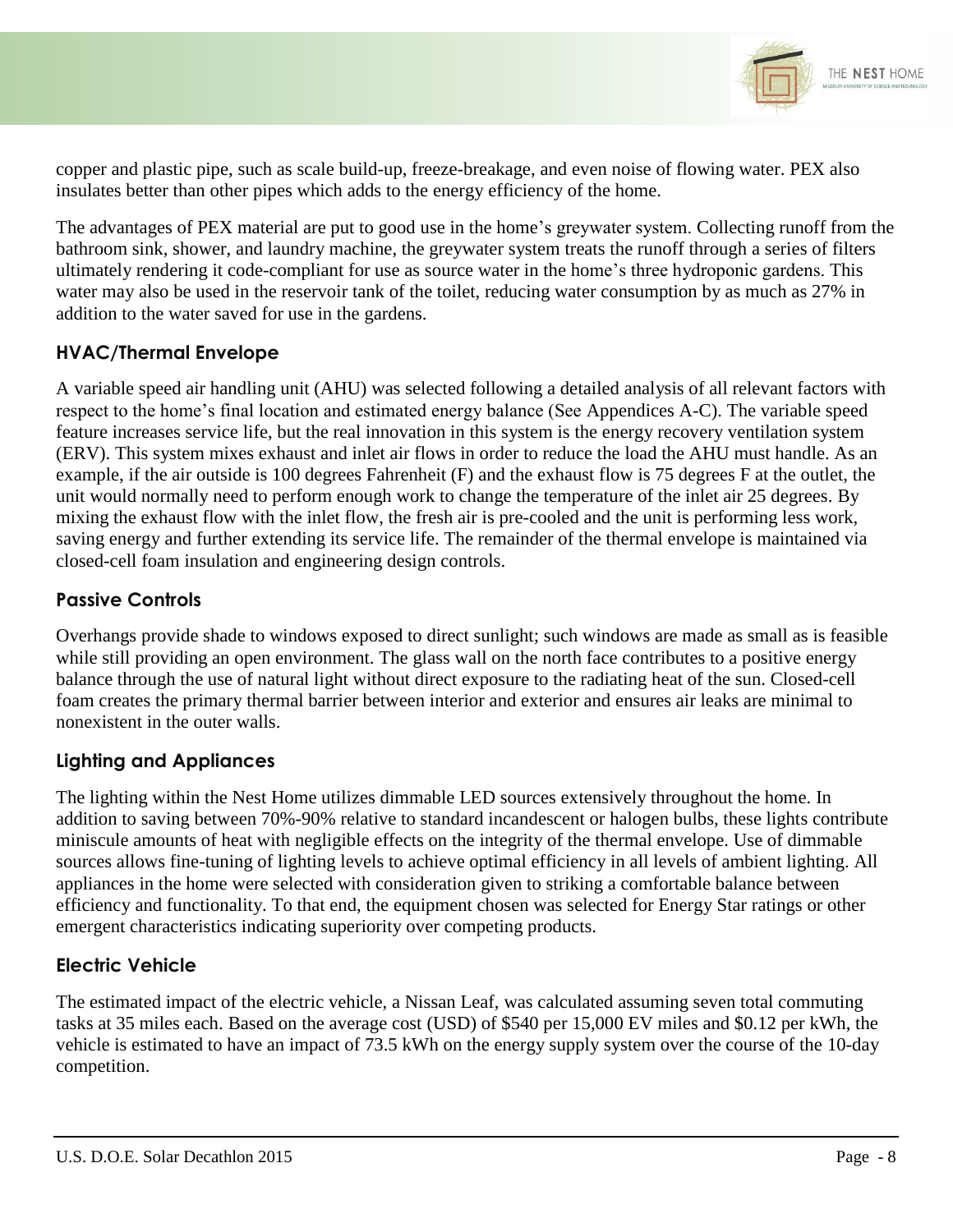

copper and plastic pipe, such as scale build-up, freeze-breakage, and even noise of flowing water. PEX also insulates better than other pipes which adds to the energy efficiency of the home.

The advantages of PEX material are put to good use in the home's greywater system. Collecting runoff from the bathroom sink, shower, and laundry machine, the greywater system treats the runoff through a series of filters ultimately rendering it code-compliant for use as source water in the home's three hydroponic gardens. This water may also be used in the reservoir tank of the toilet, reducing water consumption by as much as 27% in addition to the water saved for use in the gardens.

#### **HVAC/Thermal Envelope**

A variable speed air handling unit (AHU) was selected following a detailed analysis of all relevant factors with respect to the home's final location and estimated energy balance (See Appendices A-C). The variable speed feature increases service life, but the real innovation in this system is the energy recovery ventilation system (ERV). This system mixes exhaust and inlet air flows in order to reduce the load the AHU must handle. As an example, if the air outside is 100 degrees Fahrenheit (F) and the exhaust flow is 75 degrees F at the outlet, the unit would normally need to perform enough work to change the temperature of the inlet air 25 degrees. By mixing the exhaust flow with the inlet flow, the fresh air is pre-cooled and the unit is performing less work, saving energy and further extending its service life. The remainder of the thermal envelope is maintained via closed-cell foam insulation and engineering design controls.

#### **Passive Controls**

Overhangs provide shade to windows exposed to direct sunlight; such windows are made as small as is feasible while still providing an open environment. The glass wall on the north face contributes to a positive energy balance through the use of natural light without direct exposure to the radiating heat of the sun. Closed-cell foam creates the primary thermal barrier between interior and exterior and ensures air leaks are minimal to nonexistent in the outer walls.

#### **Lighting and Appliances**

The lighting within the Nest Home utilizes dimmable LED sources extensively throughout the home. In addition to saving between 70%-90% relative to standard incandescent or halogen bulbs, these lights contribute miniscule amounts of heat with negligible effects on the integrity of the thermal envelope. Use of dimmable sources allows fine-tuning of lighting levels to achieve optimal efficiency in all levels of ambient lighting. All appliances in the home were selected with consideration given to striking a comfortable balance between efficiency and functionality. To that end, the equipment chosen was selected for Energy Star ratings or other emergent characteristics indicating superiority over competing products.

#### **Electric Vehicle**

The estimated impact of the electric vehicle, a Nissan Leaf, was calculated assuming seven total commuting tasks at 35 miles each. Based on the average cost (USD) of \$540 per 15,000 EV miles and \$0.12 per kWh, the vehicle is estimated to have an impact of 73.5 kWh on the energy supply system over the course of the 10-day competition.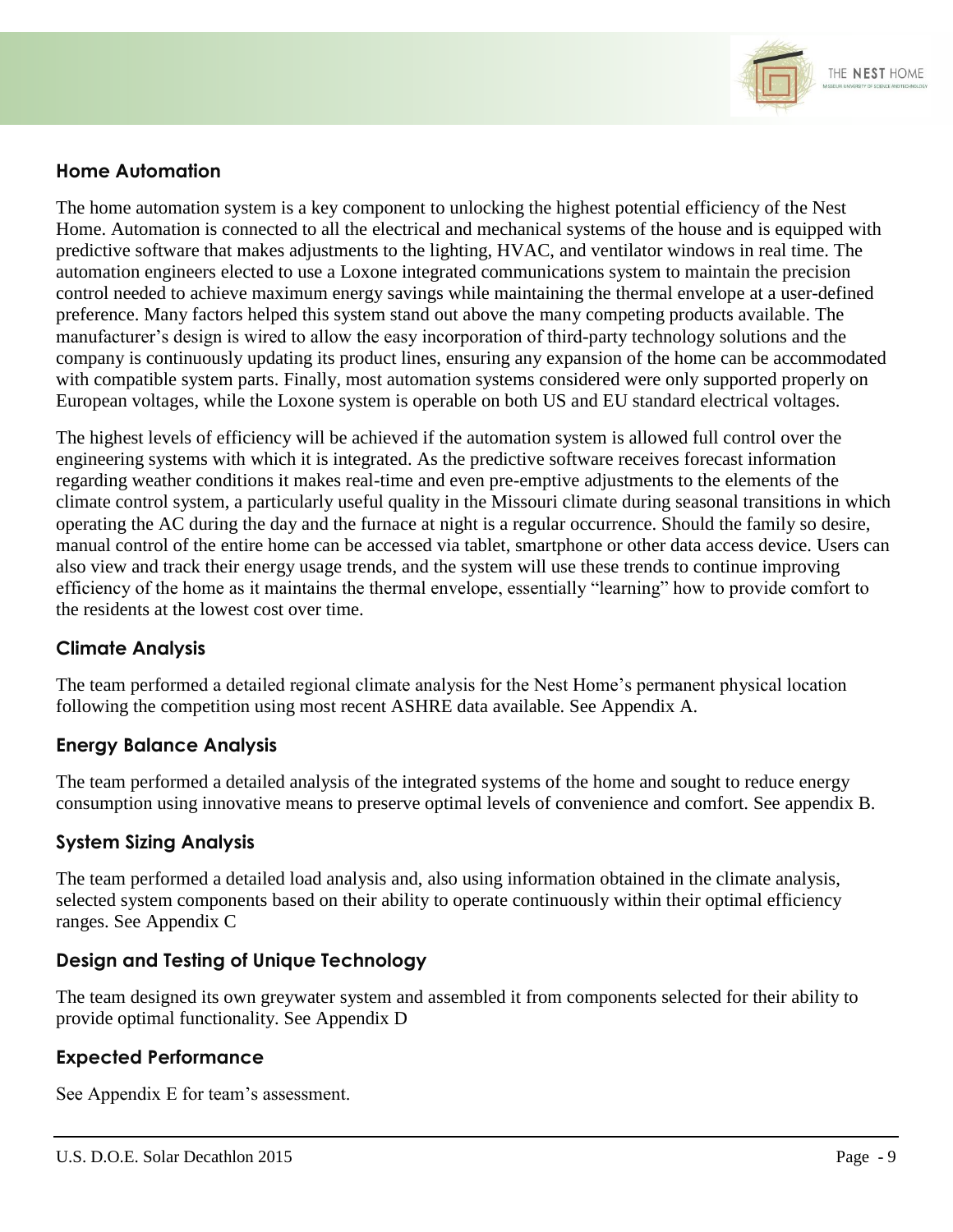

#### **Home Automation**

The home automation system is a key component to unlocking the highest potential efficiency of the Nest Home. Automation is connected to all the electrical and mechanical systems of the house and is equipped with predictive software that makes adjustments to the lighting, HVAC, and ventilator windows in real time. The automation engineers elected to use a Loxone integrated communications system to maintain the precision control needed to achieve maximum energy savings while maintaining the thermal envelope at a user-defined preference. Many factors helped this system stand out above the many competing products available. The manufacturer's design is wired to allow the easy incorporation of third-party technology solutions and the company is continuously updating its product lines, ensuring any expansion of the home can be accommodated with compatible system parts. Finally, most automation systems considered were only supported properly on European voltages, while the Loxone system is operable on both US and EU standard electrical voltages.

The highest levels of efficiency will be achieved if the automation system is allowed full control over the engineering systems with which it is integrated. As the predictive software receives forecast information regarding weather conditions it makes real-time and even pre-emptive adjustments to the elements of the climate control system, a particularly useful quality in the Missouri climate during seasonal transitions in which operating the AC during the day and the furnace at night is a regular occurrence. Should the family so desire, manual control of the entire home can be accessed via tablet, smartphone or other data access device. Users can also view and track their energy usage trends, and the system will use these trends to continue improving efficiency of the home as it maintains the thermal envelope, essentially "learning" how to provide comfort to the residents at the lowest cost over time.

#### **Climate Analysis**

The team performed a detailed regional climate analysis for the Nest Home's permanent physical location following the competition using most recent ASHRE data available. See Appendix A.

#### **Energy Balance Analysis**

The team performed a detailed analysis of the integrated systems of the home and sought to reduce energy consumption using innovative means to preserve optimal levels of convenience and comfort. See appendix B.

#### **System Sizing Analysis**

The team performed a detailed load analysis and, also using information obtained in the climate analysis, selected system components based on their ability to operate continuously within their optimal efficiency ranges. See Appendix C

#### **Design and Testing of Unique Technology**

The team designed its own greywater system and assembled it from components selected for their ability to provide optimal functionality. See Appendix D

#### **Expected Performance**

See Appendix E for team's assessment.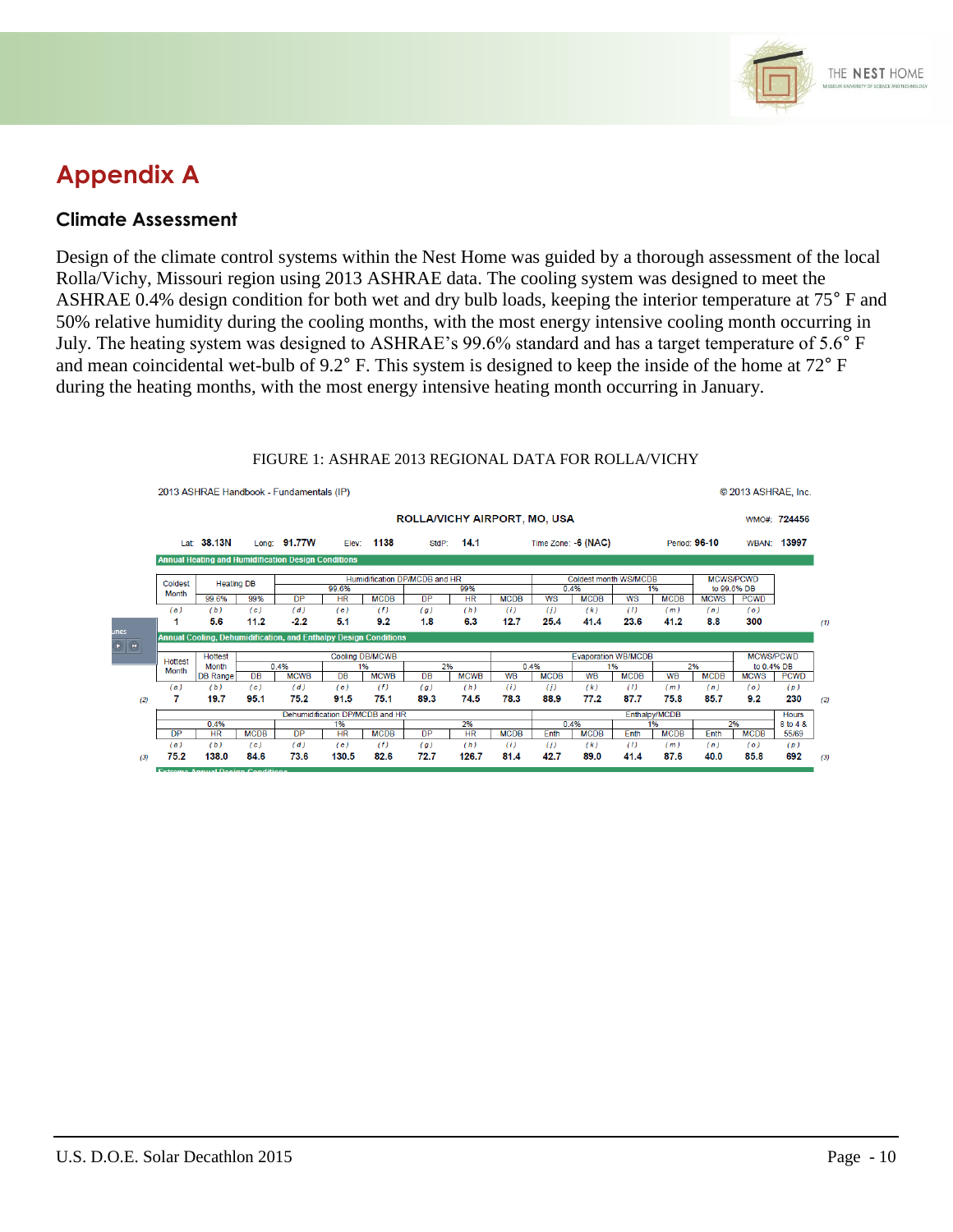

## **Appendix A**

#### **Climate Assessment**

Design of the climate control systems within the Nest Home was guided by a thorough assessment of the local Rolla/Vichy, Missouri region using 2013 ASHRAE data. The cooling system was designed to meet the ASHRAE 0.4% design condition for both wet and dry bulb loads, keeping the interior temperature at 75° F and 50% relative humidity during the cooling months, with the most energy intensive cooling month occurring in July. The heating system was designed to ASHRAE's 99.6% standard and has a target temperature of 5.6° F and mean coincidental wet-bulb of 9.2° F. This system is designed to keep the inside of the home at 72° F during the heating months, with the most energy intensive heating month occurring in January.

|                                                                                                                                                                                                                                                                                                                                                                                                                                                                                                                                                               | 2013 ASHRAE Handbook - Fundamentals (IP)                   |                          |             |                                                                  |                    |                   |             |                               |                   |                            |                              |                                |             | © 2013 ASHRAE, Inc. |                            |                  |               |  |  |
|---------------------------------------------------------------------------------------------------------------------------------------------------------------------------------------------------------------------------------------------------------------------------------------------------------------------------------------------------------------------------------------------------------------------------------------------------------------------------------------------------------------------------------------------------------------|------------------------------------------------------------|--------------------------|-------------|------------------------------------------------------------------|--------------------|-------------------|-------------|-------------------------------|-------------------|----------------------------|------------------------------|--------------------------------|-------------|---------------------|----------------------------|------------------|---------------|--|--|
|                                                                                                                                                                                                                                                                                                                                                                                                                                                                                                                                                               | ROLLA/VICHY AIRPORT, MO, USA                               |                          |             |                                                                  |                    |                   |             |                               |                   |                            |                              |                                |             |                     |                            | WMO#: 724456     |               |  |  |
|                                                                                                                                                                                                                                                                                                                                                                                                                                                                                                                                                               |                                                            | Lat: 38.13N              |             | Long: 91.77W                                                     |                    | Elev: 1138        |             | StdP: 14.1                    |                   |                            | Time Zone: -6 (NAC)          |                                |             | Period: 96-10       |                            | WBAN: 13997      |               |  |  |
|                                                                                                                                                                                                                                                                                                                                                                                                                                                                                                                                                               | <b>Annual Heating and Humidification Design Conditions</b> |                          |             |                                                                  |                    |                   |             |                               |                   |                            |                              |                                |             |                     |                            |                  |               |  |  |
|                                                                                                                                                                                                                                                                                                                                                                                                                                                                                                                                                               | Coldest                                                    | <b>Heating DB</b>        |             |                                                                  |                    |                   |             | Humidification DP/MCDB and HR |                   |                            | <b>Coldest month WS/MCDB</b> |                                |             |                     | <b>MCWS/PCWD</b>           |                  |               |  |  |
|                                                                                                                                                                                                                                                                                                                                                                                                                                                                                                                                                               | <b>Month</b>                                               | 99.6%                    | 99%         | DP                                                               | 99.6%<br><b>HR</b> | <b>MCDB</b>       | DP          | 99%<br><b>HR</b>              | <b>MCDB</b>       | <b>WS</b>                  | 0.4%<br><b>MCDB</b>          | 1%<br><b>WS</b><br><b>MCDB</b> |             | <b>MCWS</b>         | to 99.6% DB<br><b>PCWD</b> |                  |               |  |  |
|                                                                                                                                                                                                                                                                                                                                                                                                                                                                                                                                                               | (a)                                                        | (b)                      | (c)         | (d)                                                              | (e)                | (f)               | (g)         | (h)                           | (i)               | (i)                        | (k)                          | (1)                            | (m)         | (n)                 | (0)                        |                  |               |  |  |
|                                                                                                                                                                                                                                                                                                                                                                                                                                                                                                                                                               |                                                            | 5.6                      | 11.2        | $-2.2$                                                           | 5.1                | 9.2               | 1.8         | 6.3                           | 12.7              | 25.4                       | 41.4                         | 23.6                           | 41.2        | 8.8                 | 300                        |                  | (1)           |  |  |
| unes<br>$\begin{tabular}{ c c } \hline \raisebox{18pt}{$\bullet$} & $\bullet$ \\ \hline \raisebox{18pt}{$\bullet$} & $\bullet$ \\ \hline \raisebox{18pt}{$\bullet$} & $\bullet$ \\ \hline \raisebox{18pt}{$\bullet$} & $\bullet$ \\ \hline \raisebox{18pt}{$\bullet$} & $\bullet$ \\ \hline \raisebox{18pt}{$\bullet$} & $\bullet$ \\ \hline \raisebox{18pt}{$\bullet$} & $\bullet$ \\ \hline \raisebox{18pt}{$\bullet$} & $\bullet$ \\ \hline \raisebox{18pt}{$\bullet$} & $\bullet$ \\ \hline \raisebox{18pt}{$\bullet$} & $\bullet$ \\ \hline \raisebox{1$ |                                                            |                          |             | Annual Cooling, Dehumidification, and Enthalpy Design Conditions |                    |                   |             |                               |                   |                            |                              |                                |             |                     |                            |                  |               |  |  |
|                                                                                                                                                                                                                                                                                                                                                                                                                                                                                                                                                               | <b>Hottest</b>                                             | <b>Hottest</b>           |             | <b>Cooling DB/MCWB</b>                                           |                    |                   |             |                               |                   | <b>Evaporation WB/MCDB</b> |                              |                                |             |                     |                            | <b>MCWS/PCWD</b> |               |  |  |
|                                                                                                                                                                                                                                                                                                                                                                                                                                                                                                                                                               | Month                                                      | Month<br><b>DB Range</b> | <b>DB</b>   | 0.4%<br><b>MCWB</b>                                              | <b>DB</b>          | 1%<br><b>MCWB</b> | 2%<br>DB    | <b>MCWB</b>                   | 0.4%<br><b>WB</b> | <b>MCDB</b>                | <b>WB</b>                    | 1%<br><b>MCDB</b>              | <b>WB</b>   | 2%<br><b>MCDB</b>   | to 0.4% DB<br><b>MCWS</b>  | <b>PCWD</b>      |               |  |  |
|                                                                                                                                                                                                                                                                                                                                                                                                                                                                                                                                                               | (a)                                                        | (b)                      | (c)         | (d)                                                              | (e)                | (f)               | (g)         | (h)                           | (i)               | (i)                        | (k)                          | (1)                            | (m)         | (n)                 | (0)                        | (p)              |               |  |  |
| (2)                                                                                                                                                                                                                                                                                                                                                                                                                                                                                                                                                           |                                                            | 19.7                     | 95.1        | 75.2                                                             | 91.5               | 75.1              | 89.3        | 74.5                          | 78.3              | 88.9                       | 77.2                         | 87.7                           | 75.8        | 85.7                | 9.2                        | 230              | (2)           |  |  |
|                                                                                                                                                                                                                                                                                                                                                                                                                                                                                                                                                               | Dehumidification DP/MCDB and HR                            |                          |             |                                                                  |                    |                   |             |                               |                   | Enthalpy/MCDB              |                              |                                |             |                     |                            | <b>Hours</b>     |               |  |  |
|                                                                                                                                                                                                                                                                                                                                                                                                                                                                                                                                                               |                                                            | 0.4%                     |             |                                                                  | 1%                 |                   |             | 2%                            |                   |                            | 0.4%                         |                                | 1%          |                     | 2%                         | 8 to 4 &         |               |  |  |
|                                                                                                                                                                                                                                                                                                                                                                                                                                                                                                                                                               | <b>DP</b>                                                  | HR                       | <b>MCDB</b> | <b>DP</b>                                                        | HR                 | <b>MCDB</b>       | <b>DP</b>   | <b>HR</b>                     | <b>MCDB</b>       | Enth                       | <b>MCDB</b>                  | Enth                           | <b>MCDB</b> | Enth                | <b>MCDB</b>                | 55/69            |               |  |  |
| (3)                                                                                                                                                                                                                                                                                                                                                                                                                                                                                                                                                           | (a)<br>75.2                                                | (b)<br>138.0             | (c)<br>84.6 | (d)<br>73.6                                                      | (e)<br>130.5       | (f)<br>82.6       | (g)<br>72.7 | (h)<br>126.7                  | (i)<br>81.4       | (i)<br>42.7                | (k)<br>89.0                  | (1)<br>41.4                    | (m)<br>87.6 | (n)<br>40.0         | (0)<br>85.8                | (p)<br>692       | $\mathcal{L}$ |  |  |
|                                                                                                                                                                                                                                                                                                                                                                                                                                                                                                                                                               |                                                            |                          |             |                                                                  |                    |                   |             |                               |                   |                            |                              |                                |             |                     |                            |                  |               |  |  |

#### FIGURE 1: ASHRAE 2013 REGIONAL DATA FOR ROLLA/VICHY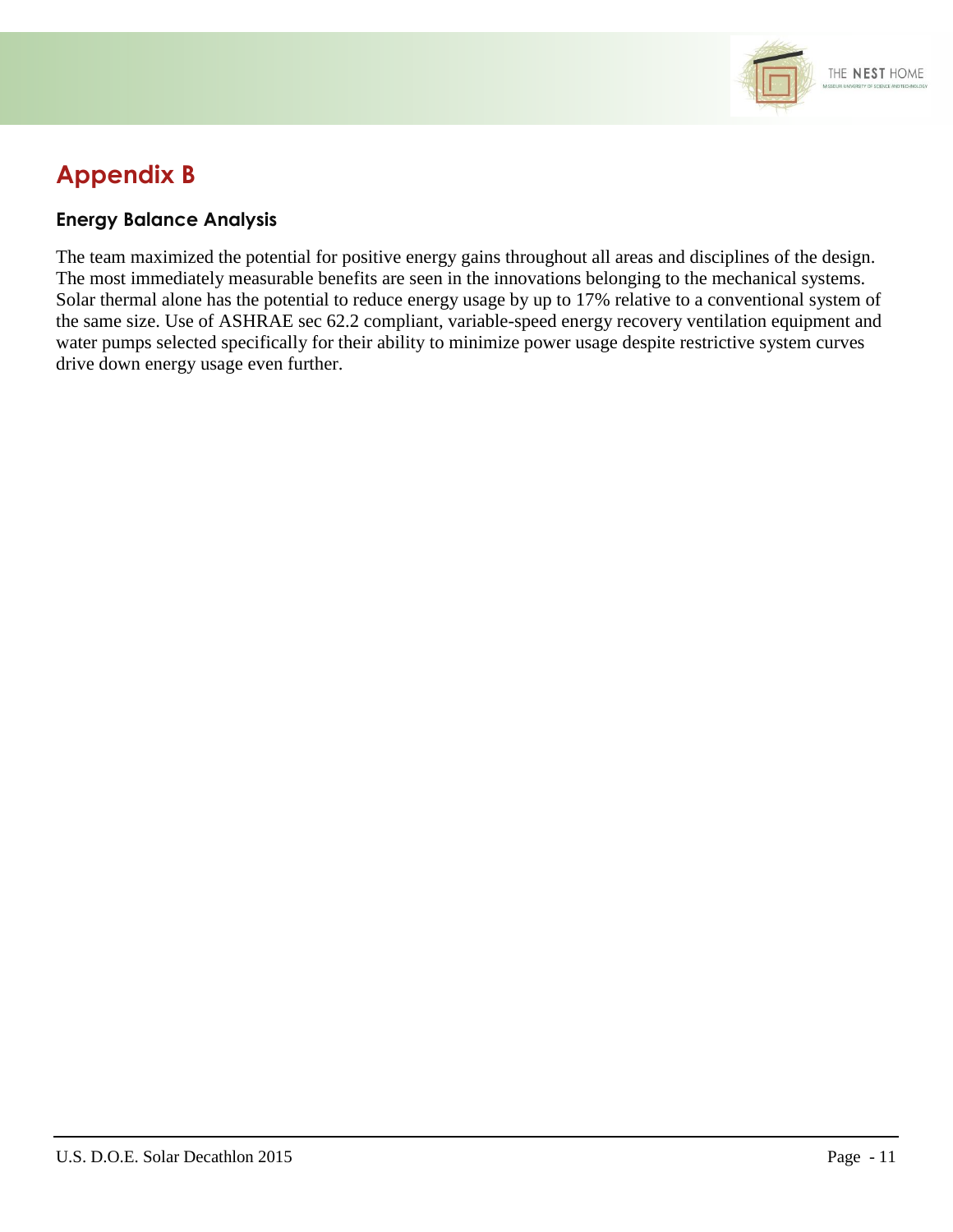

## **Appendix B**

#### **Energy Balance Analysis**

The team maximized the potential for positive energy gains throughout all areas and disciplines of the design. The most immediately measurable benefits are seen in the innovations belonging to the mechanical systems. Solar thermal alone has the potential to reduce energy usage by up to 17% relative to a conventional system of the same size. Use of ASHRAE sec 62.2 compliant, variable-speed energy recovery ventilation equipment and water pumps selected specifically for their ability to minimize power usage despite restrictive system curves drive down energy usage even further.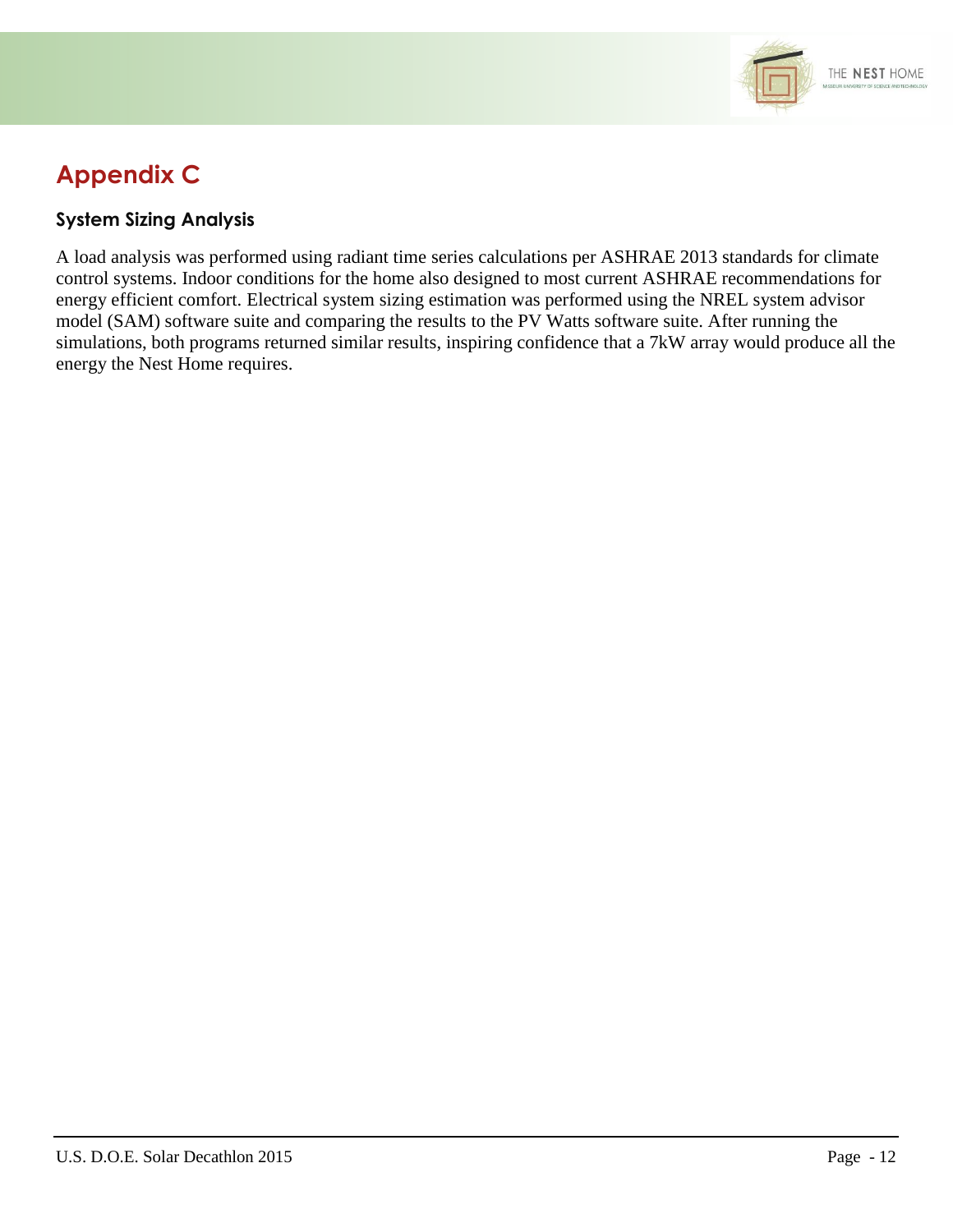

## **Appendix C**

#### **System Sizing Analysis**

A load analysis was performed using radiant time series calculations per ASHRAE 2013 standards for climate control systems. Indoor conditions for the home also designed to most current ASHRAE recommendations for energy efficient comfort. Electrical system sizing estimation was performed using the NREL system advisor model (SAM) software suite and comparing the results to the PV Watts software suite. After running the simulations, both programs returned similar results, inspiring confidence that a 7kW array would produce all the energy the Nest Home requires.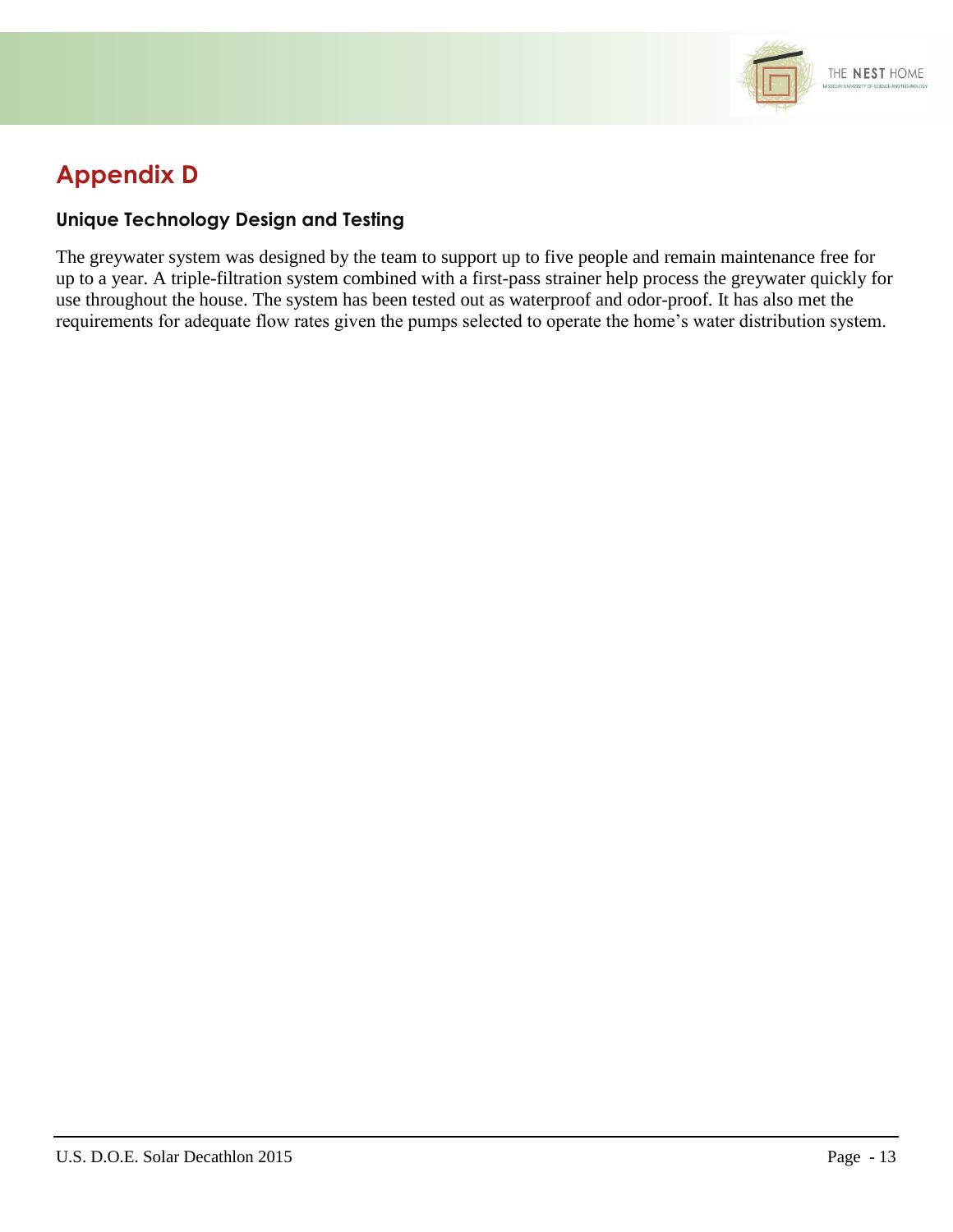

## **Appendix D**

#### **Unique Technology Design and Testing**

The greywater system was designed by the team to support up to five people and remain maintenance free for up to a year. A triple-filtration system combined with a first-pass strainer help process the greywater quickly for use throughout the house. The system has been tested out as waterproof and odor-proof. It has also met the requirements for adequate flow rates given the pumps selected to operate the home's water distribution system.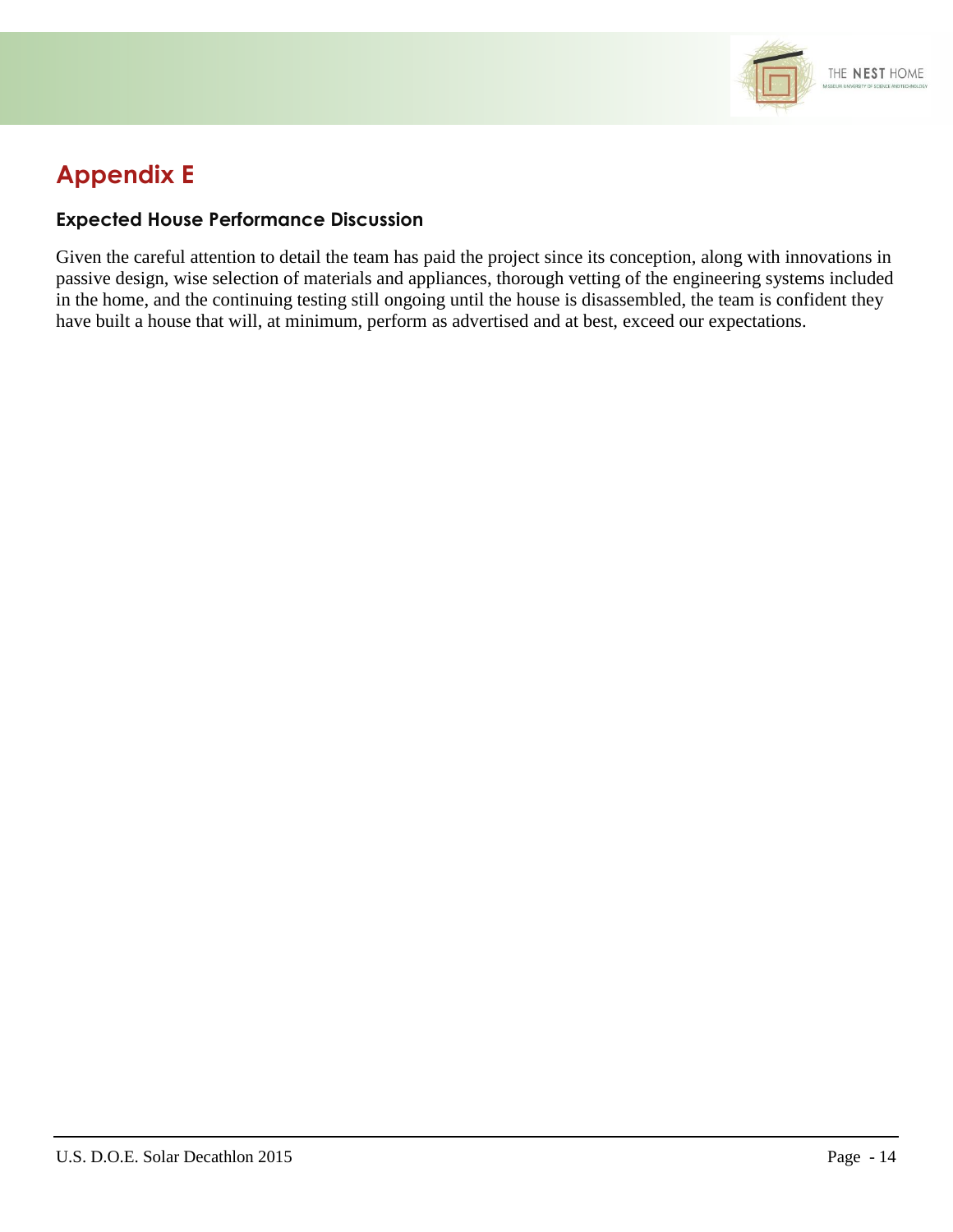

## **Appendix E**

#### **Expected House Performance Discussion**

Given the careful attention to detail the team has paid the project since its conception, along with innovations in passive design, wise selection of materials and appliances, thorough vetting of the engineering systems included in the home, and the continuing testing still ongoing until the house is disassembled, the team is confident they have built a house that will, at minimum, perform as advertised and at best, exceed our expectations.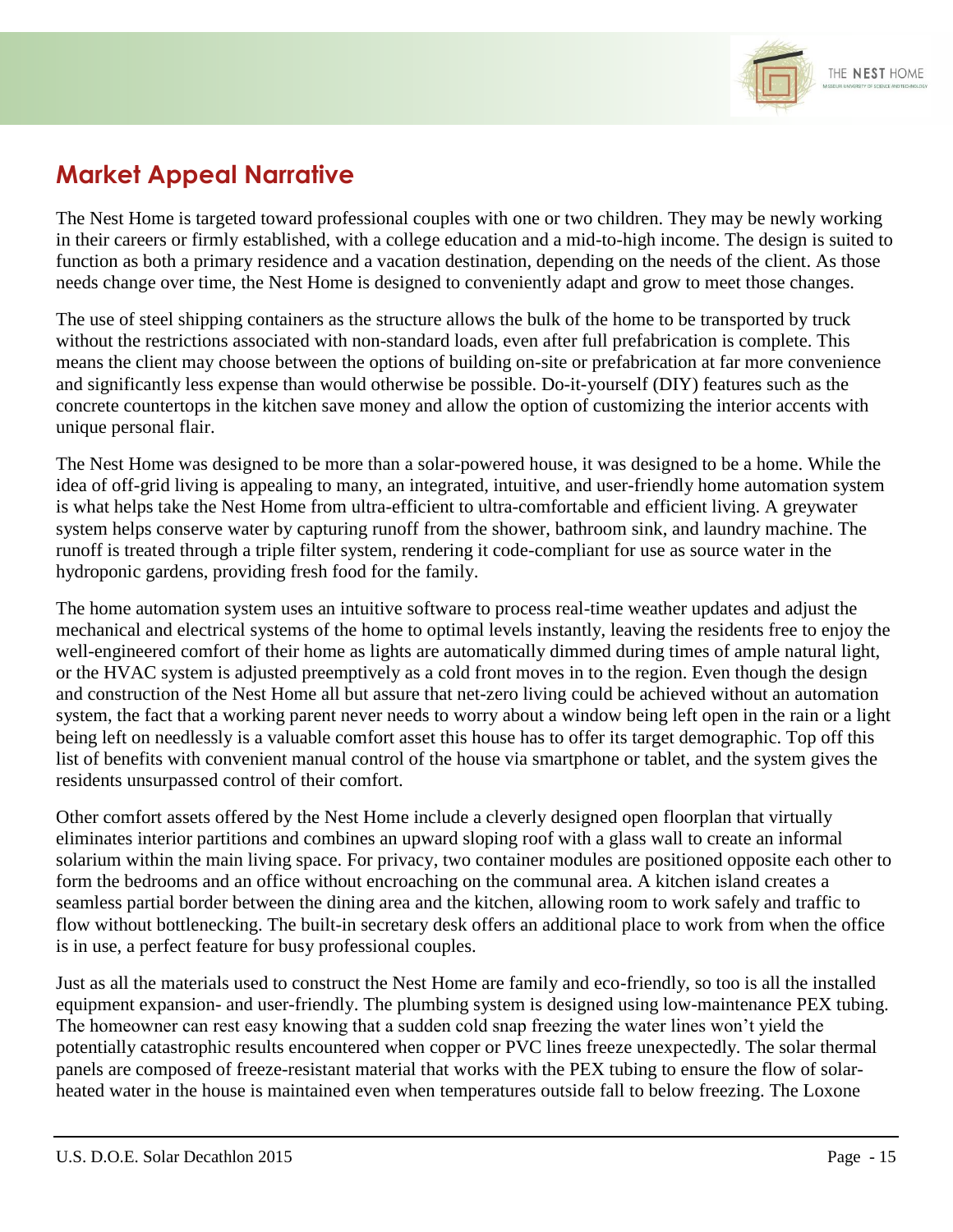

### **Market Appeal Narrative**

The Nest Home is targeted toward professional couples with one or two children. They may be newly working in their careers or firmly established, with a college education and a mid-to-high income. The design is suited to function as both a primary residence and a vacation destination, depending on the needs of the client. As those needs change over time, the Nest Home is designed to conveniently adapt and grow to meet those changes.

The use of steel shipping containers as the structure allows the bulk of the home to be transported by truck without the restrictions associated with non-standard loads, even after full prefabrication is complete. This means the client may choose between the options of building on-site or prefabrication at far more convenience and significantly less expense than would otherwise be possible. Do-it-yourself (DIY) features such as the concrete countertops in the kitchen save money and allow the option of customizing the interior accents with unique personal flair.

The Nest Home was designed to be more than a solar-powered house, it was designed to be a home. While the idea of off-grid living is appealing to many, an integrated, intuitive, and user-friendly home automation system is what helps take the Nest Home from ultra-efficient to ultra-comfortable and efficient living. A greywater system helps conserve water by capturing runoff from the shower, bathroom sink, and laundry machine. The runoff is treated through a triple filter system, rendering it code-compliant for use as source water in the hydroponic gardens, providing fresh food for the family.

The home automation system uses an intuitive software to process real-time weather updates and adjust the mechanical and electrical systems of the home to optimal levels instantly, leaving the residents free to enjoy the well-engineered comfort of their home as lights are automatically dimmed during times of ample natural light, or the HVAC system is adjusted preemptively as a cold front moves in to the region. Even though the design and construction of the Nest Home all but assure that net-zero living could be achieved without an automation system, the fact that a working parent never needs to worry about a window being left open in the rain or a light being left on needlessly is a valuable comfort asset this house has to offer its target demographic. Top off this list of benefits with convenient manual control of the house via smartphone or tablet, and the system gives the residents unsurpassed control of their comfort.

Other comfort assets offered by the Nest Home include a cleverly designed open floorplan that virtually eliminates interior partitions and combines an upward sloping roof with a glass wall to create an informal solarium within the main living space. For privacy, two container modules are positioned opposite each other to form the bedrooms and an office without encroaching on the communal area. A kitchen island creates a seamless partial border between the dining area and the kitchen, allowing room to work safely and traffic to flow without bottlenecking. The built-in secretary desk offers an additional place to work from when the office is in use, a perfect feature for busy professional couples.

Just as all the materials used to construct the Nest Home are family and eco-friendly, so too is all the installed equipment expansion- and user-friendly. The plumbing system is designed using low-maintenance PEX tubing. The homeowner can rest easy knowing that a sudden cold snap freezing the water lines won't yield the potentially catastrophic results encountered when copper or PVC lines freeze unexpectedly. The solar thermal panels are composed of freeze-resistant material that works with the PEX tubing to ensure the flow of solarheated water in the house is maintained even when temperatures outside fall to below freezing. The Loxone